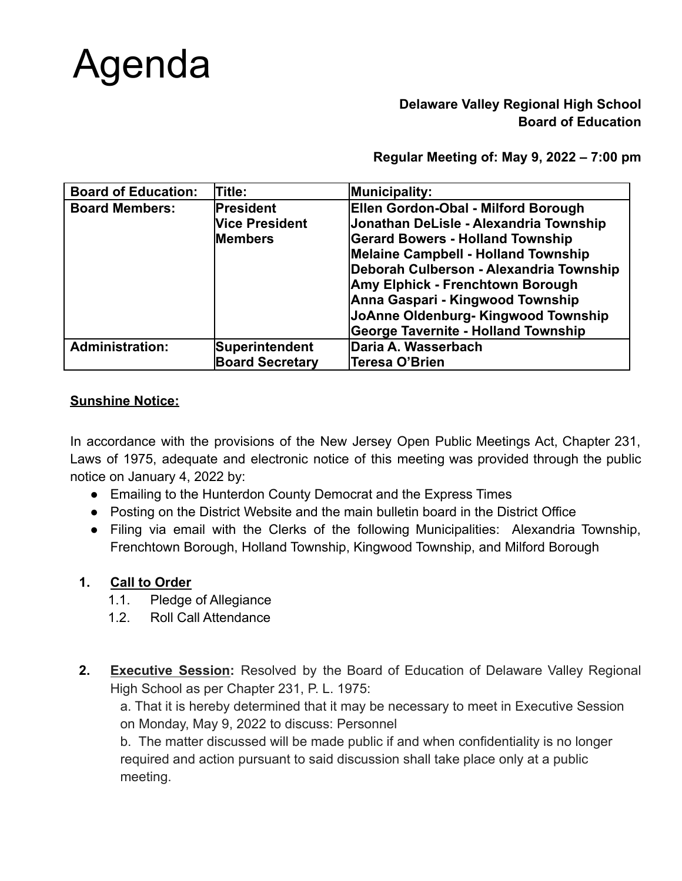

## **Delaware Valley Regional High School Board of Education**

**Regular Meeting of: May 9, 2022 – 7:00 pm**

| <b>Board of Education:</b> | Title:                 | Municipality:                              |
|----------------------------|------------------------|--------------------------------------------|
| <b>Board Members:</b>      | President              | Ellen Gordon-Obal - Milford Borough        |
|                            | <b>Vice President</b>  | Jonathan DeLisle - Alexandria Township     |
|                            | <b>Members</b>         | <b>Gerard Bowers - Holland Township</b>    |
|                            |                        | Melaine Campbell - Holland Township        |
|                            |                        | Deborah Culberson - Alexandria Township    |
|                            |                        | Amy Elphick - Frenchtown Borough           |
|                            |                        | Anna Gaspari - Kingwood Township           |
|                            |                        | JoAnne Oldenburg- Kingwood Township        |
|                            |                        | <b>George Tavernite - Holland Township</b> |
| <b>Administration:</b>     | Superintendent         | Daria A. Wasserbach                        |
|                            | <b>Board Secretary</b> | Teresa O'Brien                             |

#### **Sunshine Notice:**

In accordance with the provisions of the New Jersey Open Public Meetings Act, Chapter 231, Laws of 1975, adequate and electronic notice of this meeting was provided through the public notice on January 4, 2022 by:

- Emailing to the Hunterdon County Democrat and the Express Times
- Posting on the District Website and the main bulletin board in the District Office
- Filing via email with the Clerks of the following Municipalities: Alexandria Township, Frenchtown Borough, Holland Township, Kingwood Township, and Milford Borough

## **1. Call to Order**

- 1.1. Pledge of Allegiance
- 1.2. Roll Call Attendance
- **2. Executive Session:** Resolved by the Board of Education of Delaware Valley Regional High School as per Chapter 231, P. L. 1975:

a. That it is hereby determined that it may be necessary to meet in Executive Session on Monday, May 9, 2022 to discuss: Personnel

b. The matter discussed will be made public if and when confidentiality is no longer required and action pursuant to said discussion shall take place only at a public meeting.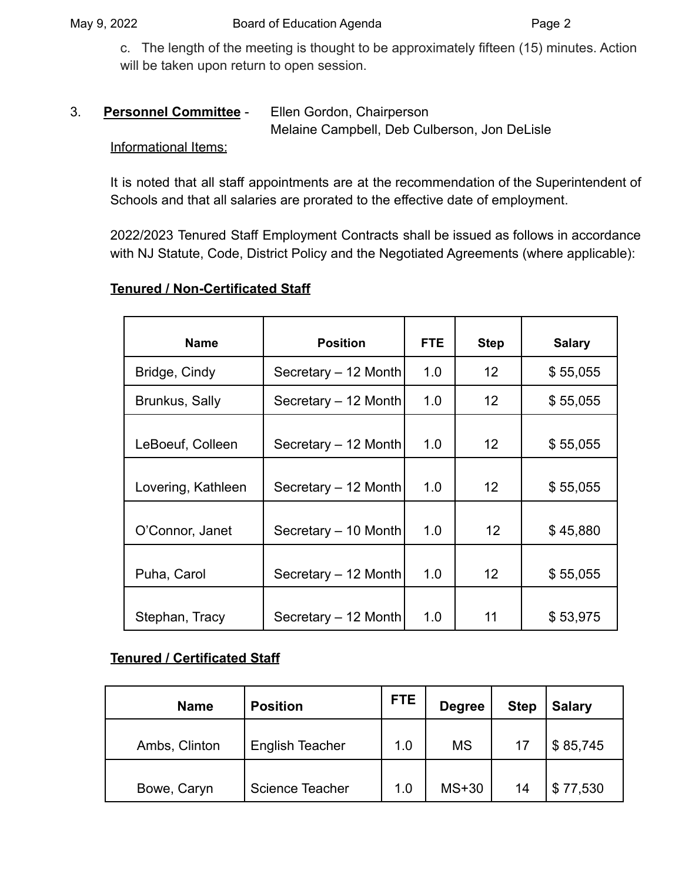c. The length of the meeting is thought to be approximately fifteen (15) minutes. Action will be taken upon return to open session.

#### 3. **Personnel Committee** - Ellen Gordon, Chairperson

Melaine Campbell, Deb Culberson, Jon DeLisle

#### Informational Items:

It is noted that all staff appointments are at the recommendation of the Superintendent of Schools and that all salaries are prorated to the effective date of employment.

2022/2023 Tenured Staff Employment Contracts shall be issued as follows in accordance with NJ Statute, Code, District Policy and the Negotiated Agreements (where applicable):

## **Tenured / Non-Certificated Staff**

| <b>Name</b>        | <b>Position</b>      | FTE | <b>Step</b>       | <b>Salary</b> |
|--------------------|----------------------|-----|-------------------|---------------|
| Bridge, Cindy      | Secretary - 12 Month | 1.0 | 12                | \$55,055      |
| Brunkus, Sally     | Secretary - 12 Month | 1.0 | $12 \overline{ }$ | \$55,055      |
| LeBoeuf, Colleen   | Secretary - 12 Month | 1.0 | 12                | \$55,055      |
| Lovering, Kathleen | Secretary - 12 Month | 1.0 | 12 <sup>2</sup>   | \$55,055      |
| O'Connor, Janet    | Secretary - 10 Month | 1.0 | 12                | \$45,880      |
| Puha, Carol        | Secretary - 12 Month | 1.0 | 12 <sup>2</sup>   | \$55,055      |
| Stephan, Tracy     | Secretary - 12 Month | 1.0 | 11                | \$53,975      |

## **Tenured / Certificated Staff**

| <b>Name</b>   | <b>Position</b>        | <b>FTE</b> | <b>Degree</b> | <b>Step</b> | <b>Salary</b> |
|---------------|------------------------|------------|---------------|-------------|---------------|
| Ambs, Clinton | <b>English Teacher</b> | 1.0        | <b>MS</b>     | 17          | \$85,745      |
| Bowe, Caryn   | Science Teacher        | 1.0        | $MS+30$       | 14          | \$77,530      |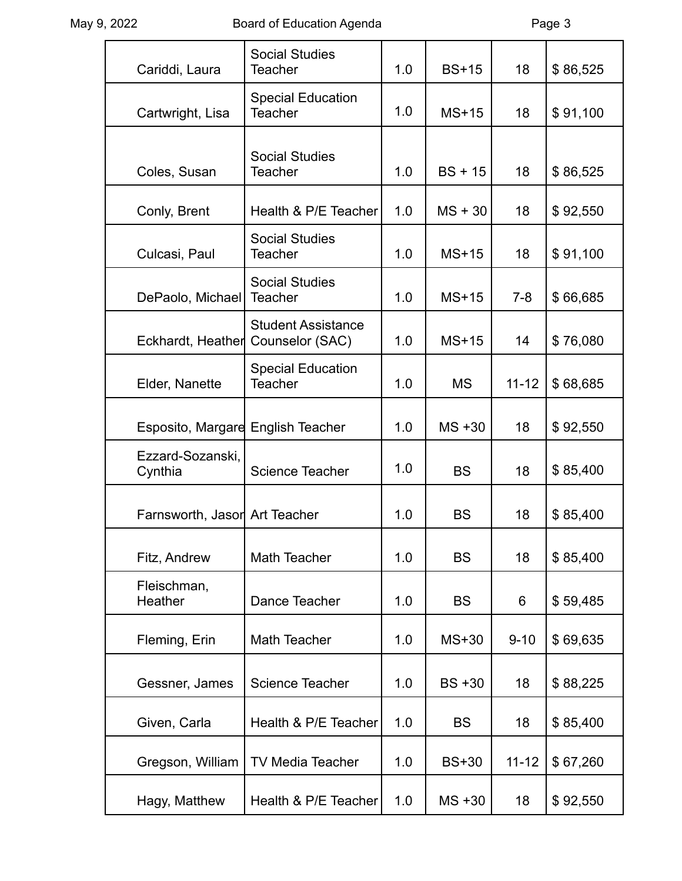| Cariddi, Laura                | <b>Social Studies</b><br><b>Teacher</b>      | 1.0 | <b>BS+15</b> | 18        | \$86,525 |
|-------------------------------|----------------------------------------------|-----|--------------|-----------|----------|
| Cartwright, Lisa              | <b>Special Education</b><br><b>Teacher</b>   | 1.0 | $MS+15$      | 18        | \$91,100 |
| Coles, Susan                  | <b>Social Studies</b><br><b>Teacher</b>      | 1.0 | $BS + 15$    | 18        | \$86,525 |
| Conly, Brent                  | Health & P/E Teacher                         | 1.0 | $MS + 30$    | 18        | \$92,550 |
| Culcasi, Paul                 | <b>Social Studies</b><br><b>Teacher</b>      | 1.0 | $MS+15$      | 18        | \$91,100 |
| DePaolo, Michael              | <b>Social Studies</b><br><b>Teacher</b>      | 1.0 | $MS+15$      | $7 - 8$   | \$66,685 |
| Eckhardt, Heather             | <b>Student Assistance</b><br>Counselor (SAC) | 1.0 | $MS+15$      | 14        | \$76,080 |
| Elder, Nanette                | <b>Special Education</b><br>Teacher          | 1.0 | <b>MS</b>    | $11 - 12$ | \$68,685 |
| Esposito, Margare             | <b>English Teacher</b>                       | 1.0 | $MS + 30$    | 18        | \$92,550 |
| Ezzard-Sozanski,<br>Cynthia   | <b>Science Teacher</b>                       | 1.0 | <b>BS</b>    | 18        | \$85,400 |
| Farnsworth, Jasor Art Teacher |                                              | 1.0 | <b>BS</b>    | 18        | \$85,400 |
| Fitz, Andrew                  | Math Teacher                                 | 1.0 | <b>BS</b>    | 18        | \$85,400 |
| Fleischman,<br>Heather        | Dance Teacher                                | 1.0 | <b>BS</b>    | 6         | \$59,485 |
| Fleming, Erin                 | <b>Math Teacher</b>                          | 1.0 | $MS+30$      | $9 - 10$  | \$69,635 |
| Gessner, James                | <b>Science Teacher</b>                       | 1.0 | $BS + 30$    | 18        | \$88,225 |
| Given, Carla                  | Health & P/E Teacher                         | 1.0 | <b>BS</b>    | 18        | \$85,400 |
| Gregson, William              | <b>TV Media Teacher</b>                      | 1.0 | <b>BS+30</b> | $11 - 12$ | \$67,260 |
| Hagy, Matthew                 | Health & P/E Teacher                         | 1.0 | $MS + 30$    | 18        | \$92,550 |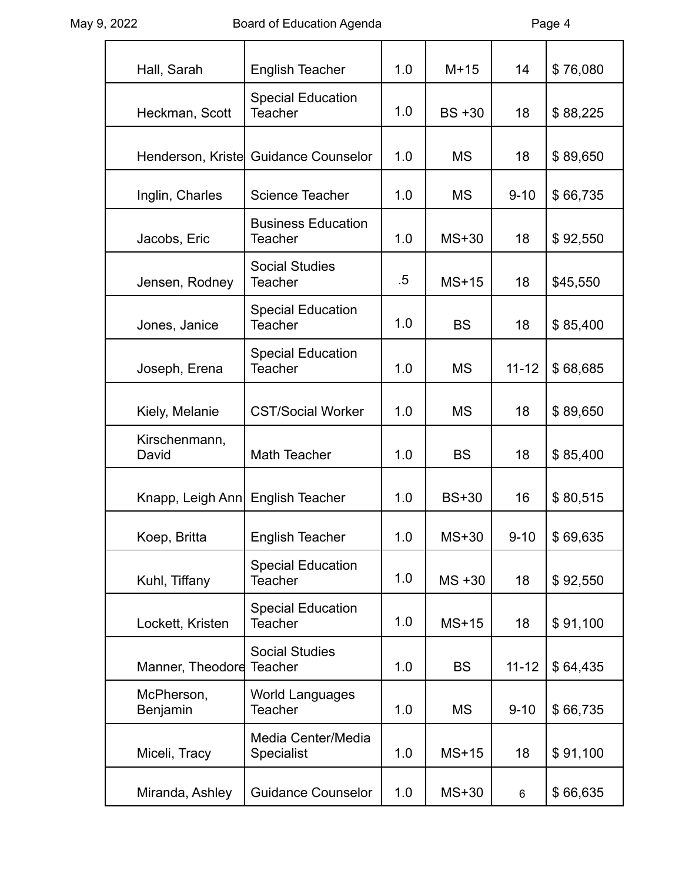| Hall, Sarah                       | <b>English Teacher</b>                      | 1.0    | $M+15$       | 14        | \$76,080 |
|-----------------------------------|---------------------------------------------|--------|--------------|-----------|----------|
| Heckman, Scott                    | <b>Special Education</b><br><b>Teacher</b>  | 1.0    | $BS + 30$    | 18        | \$88,225 |
|                                   | Henderson, Kriste Guidance Counselor        | 1.0    | <b>MS</b>    | 18        | \$89,650 |
| Inglin, Charles                   | Science Teacher                             | 1.0    | <b>MS</b>    | $9 - 10$  | \$66,735 |
| Jacobs, Eric                      | <b>Business Education</b><br><b>Teacher</b> | 1.0    | $MS+30$      | 18        | \$92,550 |
| Jensen, Rodney                    | <b>Social Studies</b><br><b>Teacher</b>     | $.5\,$ | $MS+15$      | 18        | \$45,550 |
| Jones, Janice                     | <b>Special Education</b><br><b>Teacher</b>  | 1.0    | <b>BS</b>    | 18        | \$85,400 |
| Joseph, Erena                     | <b>Special Education</b><br><b>Teacher</b>  | 1.0    | <b>MS</b>    | $11 - 12$ | \$68,685 |
| Kiely, Melanie                    | <b>CST/Social Worker</b>                    | 1.0    | <b>MS</b>    | 18        | \$89,650 |
| Kirschenmann,<br>David            | Math Teacher                                | 1.0    | <b>BS</b>    | 18        | \$85,400 |
| Knapp, Leigh Ann  English Teacher |                                             | 1.0    | <b>BS+30</b> | 16        | \$80,515 |
| Koep, Britta                      | <b>English Teacher</b>                      | 1.0    | MS+30        | $9 - 10$  | \$69,635 |
| Kuhl, Tiffany                     | <b>Special Education</b><br><b>Teacher</b>  | 1.0    | $MS + 30$    | 18        | \$92,550 |
| Lockett, Kristen                  | <b>Special Education</b><br><b>Teacher</b>  | 1.0    | $MS+15$      | 18        | \$91,100 |
| Manner, Theodore                  | <b>Social Studies</b><br><b>Teacher</b>     | 1.0    | <b>BS</b>    | $11 - 12$ | \$64,435 |
| McPherson,<br>Benjamin            | <b>World Languages</b><br><b>Teacher</b>    | 1.0    | <b>MS</b>    | $9 - 10$  | \$66,735 |
| Miceli, Tracy                     | Media Center/Media<br><b>Specialist</b>     | 1.0    | $MS+15$      | 18        | \$91,100 |
| Miranda, Ashley                   | <b>Guidance Counselor</b>                   | 1.0    | MS+30        | 6         | \$66,635 |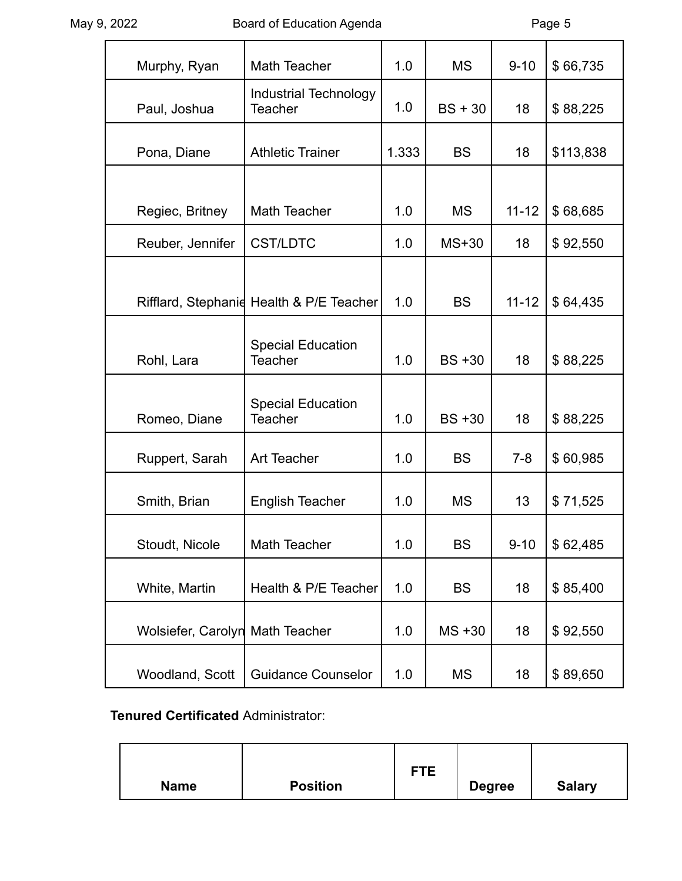| Murphy, Ryan       | Math Teacher                                   | 1.0   | <b>MS</b> | $9 - 10$  | \$66,735  |
|--------------------|------------------------------------------------|-------|-----------|-----------|-----------|
| Paul, Joshua       | <b>Industrial Technology</b><br><b>Teacher</b> | 1.0   | $BS + 30$ | 18        | \$88,225  |
| Pona, Diane        | <b>Athletic Trainer</b>                        | 1.333 | <b>BS</b> | 18        | \$113,838 |
|                    |                                                |       |           |           |           |
| Regiec, Britney    | Math Teacher                                   | 1.0   | <b>MS</b> | $11 - 12$ | \$68,685  |
| Reuber, Jennifer   | <b>CST/LDTC</b>                                | 1.0   | $MS+30$   | 18        | \$92,550  |
|                    |                                                |       |           |           |           |
|                    | Rifflard, Stephanid Health & P/E Teacher       | 1.0   | <b>BS</b> | $11 - 12$ | \$64,435  |
| Rohl, Lara         | <b>Special Education</b><br><b>Teacher</b>     | 1.0   | $BS + 30$ | 18        | \$88,225  |
| Romeo, Diane       | <b>Special Education</b><br><b>Teacher</b>     | 1.0   | $BS + 30$ | 18        | \$88,225  |
| Ruppert, Sarah     | <b>Art Teacher</b>                             | 1.0   | <b>BS</b> | $7-8$     | \$60,985  |
| Smith, Brian       | <b>English Teacher</b>                         | 1.0   | <b>MS</b> | 13        | \$71,525  |
| Stoudt, Nicole     | Math Teacher                                   | 1.0   | <b>BS</b> | $9 - 10$  | \$62,485  |
| White, Martin      | Health & P/E Teacher                           | 1.0   | <b>BS</b> | 18        | \$85,400  |
| Wolsiefer, Carolyn | <b>Math Teacher</b>                            | 1.0   | $MS + 30$ | 18        | \$92,550  |
| Woodland, Scott    | <b>Guidance Counselor</b>                      | 1.0   | <b>MS</b> | 18        | \$89,650  |

# **Tenured Certificated** Administrator:

| <b>Name</b> | <b>Position</b> | <b>FTE</b> | <b>Degree</b> | <b>Salary</b> |
|-------------|-----------------|------------|---------------|---------------|
|             |                 |            |               |               |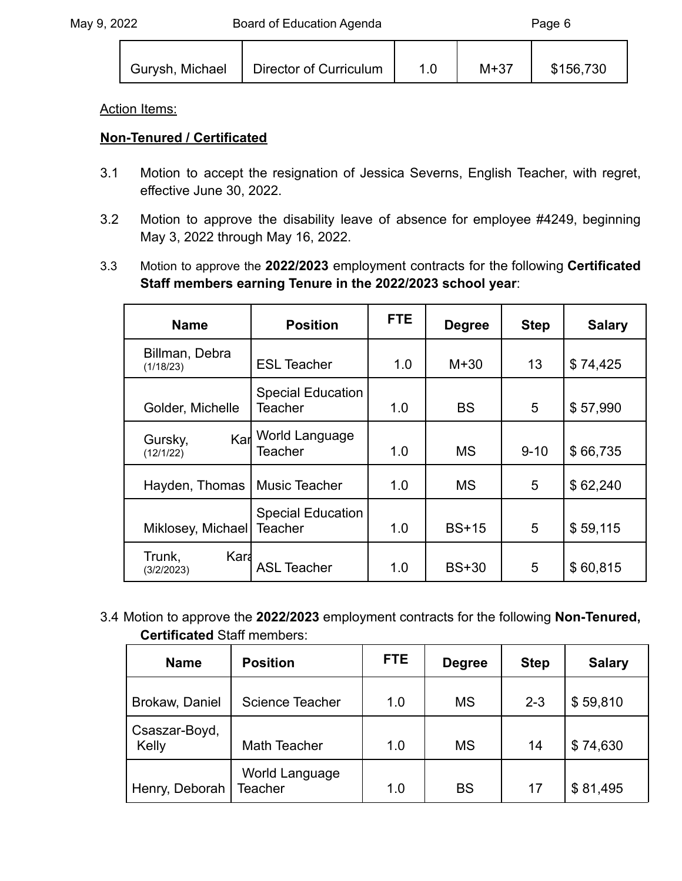$\Gamma$ 

Τ

Г

٦

| Gurysh, Michael | Director of Curriculum |  | $M+37$ | \$156,730 |
|-----------------|------------------------|--|--------|-----------|
|-----------------|------------------------|--|--------|-----------|

⊤

Т

#### Action Items:

## **Non-Tenured / Certificated**

- 3.1 Motion to accept the resignation of Jessica Severns, English Teacher, with regret, effective June 30, 2022.
- 3.2 Motion to approve the disability leave of absence for employee #4249, beginning May 3, 2022 through May 16, 2022.
- 3.3 Motion to approve the **2022/2023** employment contracts for the following **Certificated Staff members earning Tenure in the 2022/2023 school year**:

| <b>Name</b>                  | <b>Position</b>                            | <b>FTE</b> | <b>Degree</b> | <b>Step</b> | <b>Salary</b> |
|------------------------------|--------------------------------------------|------------|---------------|-------------|---------------|
| Billman, Debra<br>(1/18/23)  | <b>ESL Teacher</b>                         | 1.0        | $M+30$        | 13          | \$74,425      |
| Golder, Michelle             | <b>Special Education</b><br><b>Teacher</b> | 1.0        | <b>BS</b>     | 5           | \$57,990      |
| Karl<br>Gursky,<br>(12/1/22) | World Language<br><b>Teacher</b>           | 1.0        | <b>MS</b>     | $9 - 10$    | \$66,735      |
| Hayden, Thomas               | Music Teacher                              | 1.0        | <b>MS</b>     | 5           | \$62,240      |
| Miklosey, Michael            | <b>Special Education</b><br><b>Teacher</b> | 1.0        | $BS+15$       | 5           | \$59,115      |
| Kara<br>Trunk,<br>(3/2/2023) | <b>ASL Teacher</b>                         | 1.0        | $BS+30$       | 5           | \$60,815      |

3.4 Motion to approve the **2022/2023** employment contracts for the following **Non-Tenured, Certificated** Staff members:

| <b>Name</b>            | <b>Position</b>           | FTE. | <b>Degree</b> | <b>Step</b> | <b>Salary</b> |
|------------------------|---------------------------|------|---------------|-------------|---------------|
| Brokaw, Daniel         | <b>Science Teacher</b>    | 1.0  | <b>MS</b>     | $2 - 3$     | \$59,810      |
| Csaszar-Boyd,<br>Kelly | Math Teacher              | 1.0  | <b>MS</b>     | 14          | \$74,630      |
| Henry, Deborah         | World Language<br>Teacher | 1.0  | <b>BS</b>     | 17          | \$81,495      |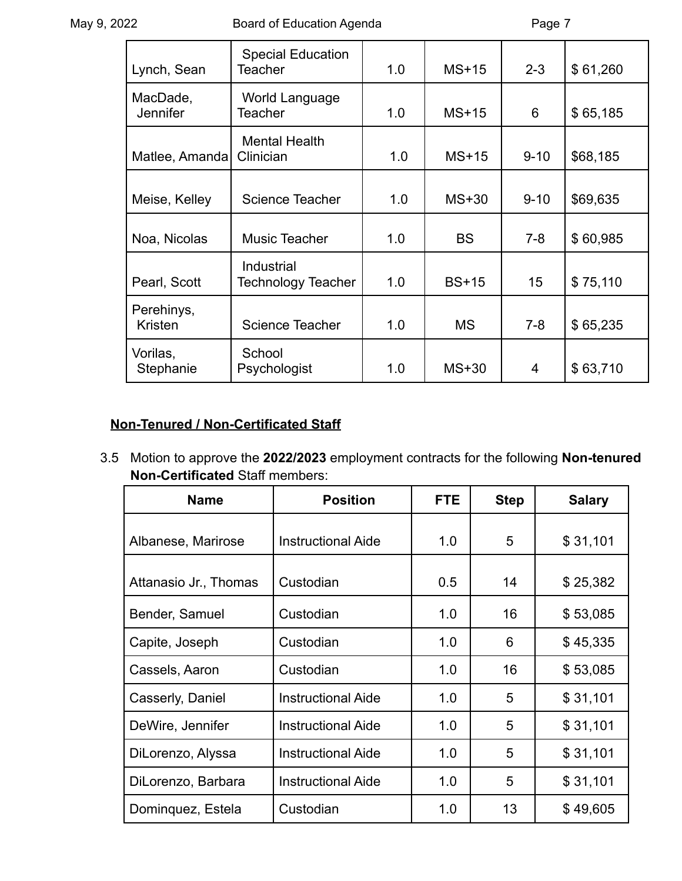| Lynch, Sean                 | <b>Special Education</b><br>Teacher     | 1.0 | $MS+15$      | $2 - 3$  | \$61,260 |
|-----------------------------|-----------------------------------------|-----|--------------|----------|----------|
| MacDade,<br><b>Jennifer</b> | World Language<br>Teacher               | 1.0 | $MS+15$      | 6        | \$65,185 |
| Matlee, Amanda              | <b>Mental Health</b><br>Clinician       | 1.0 | $MS+15$      | $9 - 10$ | \$68,185 |
| Meise, Kelley               | Science Teacher                         | 1.0 | $MS+30$      | $9 - 10$ | \$69,635 |
| Noa, Nicolas                | Music Teacher                           | 1.0 | <b>BS</b>    | $7 - 8$  | \$60,985 |
| Pearl, Scott                | Industrial<br><b>Technology Teacher</b> | 1.0 | <b>BS+15</b> | 15       | \$75,110 |
| Perehinys,<br>Kristen       | <b>Science Teacher</b>                  | 1.0 | <b>MS</b>    | $7 - 8$  | \$65,235 |
| Vorilas,<br>Stephanie       | School<br>Psychologist                  | 1.0 | $MS+30$      | 4        | \$63,710 |

# **Non-Tenured / Non-Certificated Staff**

3.5 Motion to approve the **2022/2023** employment contracts for the following **Non-tenured Non-Certificated** Staff members:

| <b>Position</b><br><b>Name</b> |                           | <b>FTE</b> | <b>Step</b> | <b>Salary</b> |
|--------------------------------|---------------------------|------------|-------------|---------------|
| Albanese, Marirose             | <b>Instructional Aide</b> | 1.0        | 5           | \$31,101      |
| Attanasio Jr., Thomas          | Custodian                 | 0.5        | 14          | \$25,382      |
| Bender, Samuel                 | Custodian                 | 1.0        | 16          | \$53,085      |
| Capite, Joseph                 | Custodian                 | 1.0        | 6           | \$45,335      |
| Cassels, Aaron                 | Custodian                 | 1.0        | 16          | \$53,085      |
| Casserly, Daniel               | <b>Instructional Aide</b> | 1.0        | 5           | \$31,101      |
| DeWire, Jennifer               | Instructional Aide        | 1.0        | 5           | \$31,101      |
| DiLorenzo, Alyssa              | <b>Instructional Aide</b> | 1.0        | 5           | \$31,101      |
| DiLorenzo, Barbara             | <b>Instructional Aide</b> | 1.0        | 5           | \$31,101      |
| Dominguez, Estela              | Custodian                 | 1.0        | 13          | \$49,605      |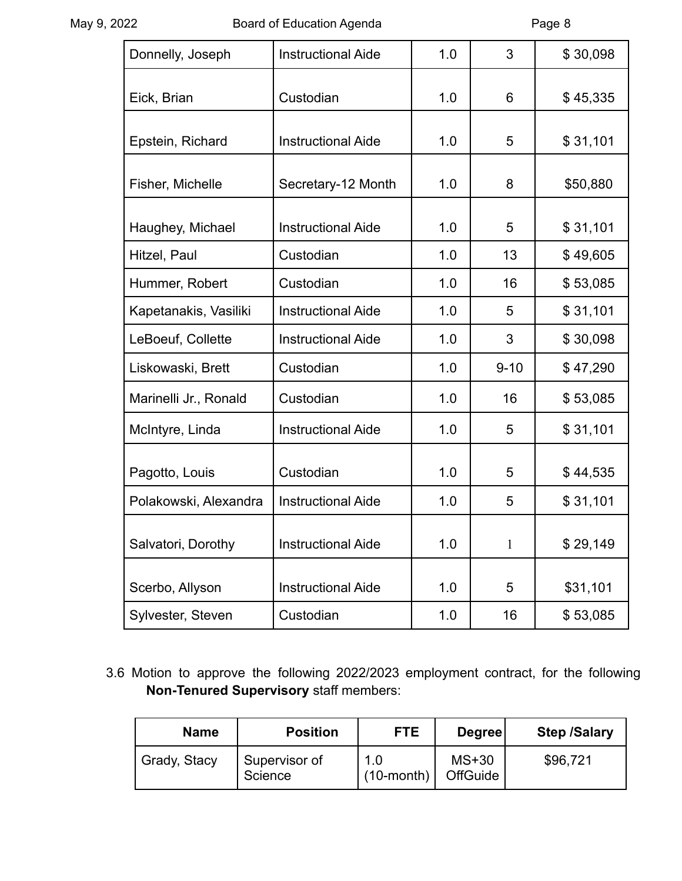| Donnelly, Joseph      | <b>Instructional Aide</b> | 1.0 | 3        | \$30,098 |
|-----------------------|---------------------------|-----|----------|----------|
| Eick, Brian           | Custodian                 | 1.0 | 6        | \$45,335 |
| Epstein, Richard      | <b>Instructional Aide</b> | 1.0 | 5        | \$31,101 |
| Fisher, Michelle      | Secretary-12 Month        | 1.0 | 8        | \$50,880 |
| Haughey, Michael      | <b>Instructional Aide</b> | 1.0 | 5        | \$31,101 |
| Hitzel, Paul          | Custodian                 | 1.0 | 13       | \$49,605 |
| Hummer, Robert        | Custodian                 | 1.0 | 16       | \$53,085 |
| Kapetanakis, Vasiliki | <b>Instructional Aide</b> | 1.0 | 5        | \$31,101 |
| LeBoeuf, Collette     | <b>Instructional Aide</b> | 1.0 | 3        | \$30,098 |
| Liskowaski, Brett     | Custodian                 | 1.0 | $9 - 10$ | \$47,290 |
| Marinelli Jr., Ronald | Custodian                 | 1.0 | 16       | \$53,085 |
| McIntyre, Linda       | <b>Instructional Aide</b> | 1.0 | 5        | \$31,101 |
| Pagotto, Louis        | Custodian                 | 1.0 | 5        | \$44,535 |
| Polakowski, Alexandra | <b>Instructional Aide</b> | 1.0 | 5        | \$31,101 |
| Salvatori, Dorothy    | <b>Instructional Aide</b> | 1.0 | 1        | \$29,149 |
| Scerbo, Allyson       | <b>Instructional Aide</b> | 1.0 | 5        | \$31,101 |
| Sylvester, Steven     | Custodian                 | 1.0 | 16       | \$53,085 |

3.6 Motion to approve the following 2022/2023 employment contract, for the following **Non-Tenured Supervisory** staff members:

| <b>Name</b>  | <b>Position</b>          | FTE.                    | Degree                     | <b>Step /Salary</b> |
|--------------|--------------------------|-------------------------|----------------------------|---------------------|
| Grady, Stacy | Supervisor of<br>Science | 1.0<br>$(10$ -month $)$ | $MS+30$<br><b>OffGuide</b> | \$96,721            |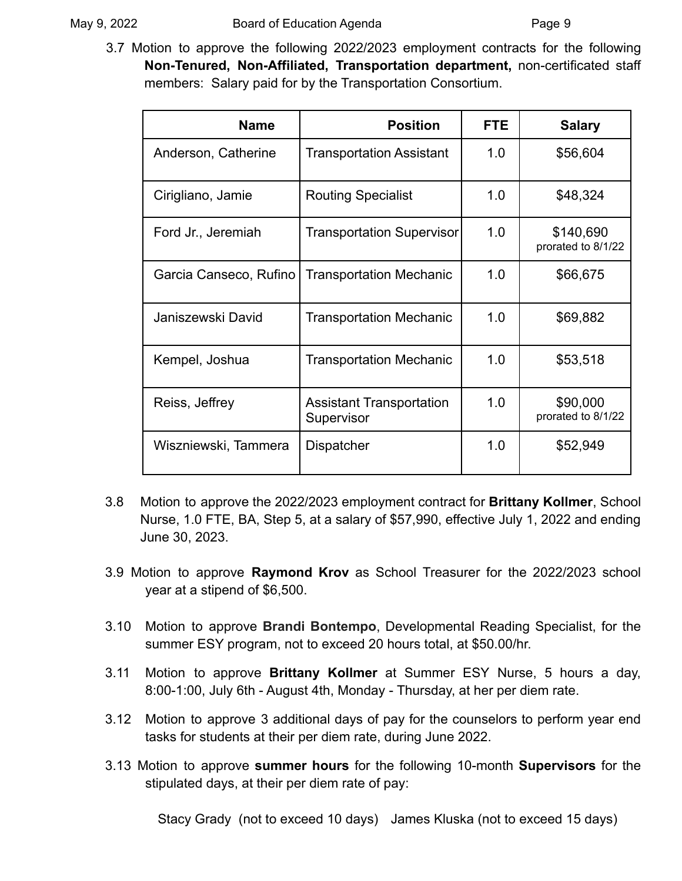3.7 Motion to approve the following 2022/2023 employment contracts for the following **Non-Tenured, Non-Affiliated, Transportation department,** non-certificated staff members: Salary paid for by the Transportation Consortium.

| <b>Name</b>            | <b>Position</b>                               | <b>FTE</b> | <b>Salary</b>                   |
|------------------------|-----------------------------------------------|------------|---------------------------------|
| Anderson, Catherine    | Transportation Assistant                      | 1.0        | \$56,604                        |
| Cirigliano, Jamie      | <b>Routing Specialist</b>                     | 1.0        | \$48,324                        |
| Ford Jr., Jeremiah     | <b>Transportation Supervisor</b>              | 1.0        | \$140,690<br>prorated to 8/1/22 |
| Garcia Canseco, Rufino | <b>Transportation Mechanic</b>                | 1.0        | \$66,675                        |
| Janiszewski David      | <b>Transportation Mechanic</b>                | 1.0        | \$69,882                        |
| Kempel, Joshua         | <b>Transportation Mechanic</b>                | 1.0        | \$53,518                        |
| Reiss, Jeffrey         | <b>Assistant Transportation</b><br>Supervisor | 1.0        | \$90,000<br>prorated to 8/1/22  |
| Wiszniewski, Tammera   | Dispatcher                                    | 1.0        | \$52,949                        |

- 3.8 Motion to approve the 2022/2023 employment contract for **Brittany Kollmer**, School Nurse, 1.0 FTE, BA, Step 5, at a salary of \$57,990, effective July 1, 2022 and ending June 30, 2023.
- 3.9 Motion to approve **Raymond Krov** as School Treasurer for the 2022/2023 school year at a stipend of \$6,500.
- 3.10 Motion to approve **Brandi Bontempo**, Developmental Reading Specialist, for the summer ESY program, not to exceed 20 hours total, at \$50.00/hr.
- 3.11 Motion to approve **Brittany Kollmer** at Summer ESY Nurse, 5 hours a day, 8:00-1:00, July 6th - August 4th, Monday - Thursday, at her per diem rate.
- 3.12 Motion to approve 3 additional days of pay for the counselors to perform year end tasks for students at their per diem rate, during June 2022.
- 3.13 Motion to approve **summer hours** for the following 10-month **Supervisors** for the stipulated days, at their per diem rate of pay:

Stacy Grady (not to exceed 10 days) James Kluska (not to exceed 15 days)